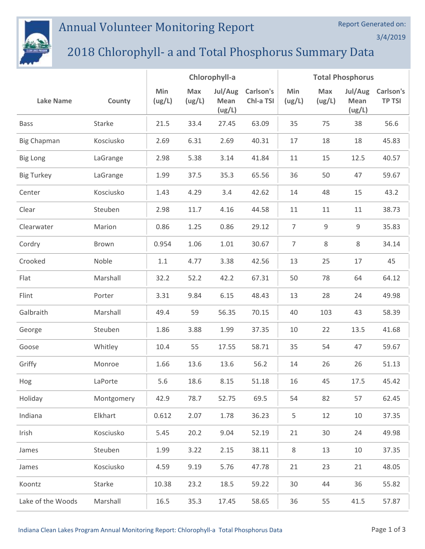## Annual Volunteer Monitoring Report

## 2018 Chlorophyll- a and Total Phosphorus Summary Data

|                    |            | Chlorophyll-a |               |                           |                        | <b>Total Phosphorus</b> |               |                           |                            |
|--------------------|------------|---------------|---------------|---------------------------|------------------------|-------------------------|---------------|---------------------------|----------------------------|
| <b>Lake Name</b>   | County     | Min<br>(ug/L) | Max<br>(ug/L) | Jul/Aug<br>Mean<br>(ug/L) | Carlson's<br>Chl-a TSI | Min<br>(ug/L)           | Max<br>(ug/L) | Jul/Aug<br>Mean<br>(ug/L) | Carlson's<br><b>TP TSI</b> |
| <b>Bass</b>        | Starke     | 21.5          | 33.4          | 27.45                     | 63.09                  | 35                      | 75            | 38                        | 56.6                       |
| <b>Big Chapman</b> | Kosciusko  | 2.69          | 6.31          | 2.69                      | 40.31                  | 17                      | 18            | 18                        | 45.83                      |
| <b>Big Long</b>    | LaGrange   | 2.98          | 5.38          | 3.14                      | 41.84                  | 11                      | 15            | 12.5                      | 40.57                      |
| <b>Big Turkey</b>  | LaGrange   | 1.99          | 37.5          | 35.3                      | 65.56                  | 36                      | 50            | 47                        | 59.67                      |
| Center             | Kosciusko  | 1.43          | 4.29          | 3.4                       | 42.62                  | 14                      | 48            | 15                        | 43.2                       |
| Clear              | Steuben    | 2.98          | 11.7          | 4.16                      | 44.58                  | 11                      | 11            | 11                        | 38.73                      |
| Clearwater         | Marion     | 0.86          | 1.25          | 0.86                      | 29.12                  | $\overline{7}$          | 9             | 9                         | 35.83                      |
| Cordry             | Brown      | 0.954         | 1.06          | $1.01\,$                  | 30.67                  | $\overline{7}$          | 8             | 8                         | 34.14                      |
| Crooked            | Noble      | 1.1           | 4.77          | 3.38                      | 42.56                  | 13                      | 25            | 17                        | 45                         |
| Flat               | Marshall   | 32.2          | 52.2          | 42.2                      | 67.31                  | 50                      | 78            | 64                        | 64.12                      |
| Flint              | Porter     | 3.31          | 9.84          | 6.15                      | 48.43                  | 13                      | 28            | 24                        | 49.98                      |
| Galbraith          | Marshall   | 49.4          | 59            | 56.35                     | 70.15                  | 40                      | 103           | 43                        | 58.39                      |
| George             | Steuben    | 1.86          | 3.88          | 1.99                      | 37.35                  | 10                      | 22            | 13.5                      | 41.68                      |
| Goose              | Whitley    | 10.4          | 55            | 17.55                     | 58.71                  | 35                      | 54            | 47                        | 59.67                      |
| Griffy             | Monroe     | 1.66          | 13.6          | 13.6                      | 56.2                   | 14                      | 26            | 26                        | 51.13                      |
| Hog                | LaPorte    | 5.6           | 18.6          | 8.15                      | 51.18                  | 16                      | 45            | 17.5                      | 45.42                      |
| Holiday            | Montgomery | 42.9          | 78.7          | 52.75                     | 69.5                   | 54                      | 82            | 57                        | 62.45                      |
| Indiana            | Elkhart    | 0.612         | 2.07          | 1.78                      | 36.23                  | 5                       | 12            | 10                        | 37.35                      |
| Irish              | Kosciusko  | 5.45          | 20.2          | 9.04                      | 52.19                  | 21                      | 30            | 24                        | 49.98                      |
| James              | Steuben    | 1.99          | 3.22          | 2.15                      | 38.11                  | 8                       | 13            | 10                        | 37.35                      |
| James              | Kosciusko  | 4.59          | 9.19          | 5.76                      | 47.78                  | 21                      | 23            | 21                        | 48.05                      |
| Koontz             | Starke     | 10.38         | 23.2          | 18.5                      | 59.22                  | 30                      | 44            | 36                        | 55.82                      |
| Lake of the Woods  | Marshall   | 16.5          | 35.3          | 17.45                     | 58.65                  | 36                      | 55            | 41.5                      | 57.87                      |

Report Generated on:

3/4/2019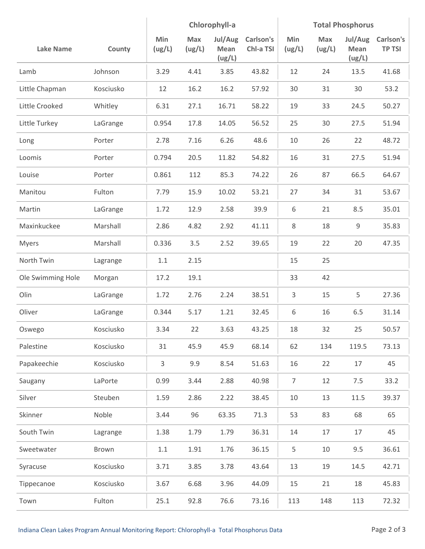|                   |           | Chlorophyll-a |               |                           | <b>Total Phosphorus</b> |                |               |                           |                            |
|-------------------|-----------|---------------|---------------|---------------------------|-------------------------|----------------|---------------|---------------------------|----------------------------|
| <b>Lake Name</b>  | County    | Min<br>(ug/L) | Max<br>(ug/L) | Jul/Aug<br>Mean<br>(ug/L) | Carlson's<br>Chl-a TSI  | Min<br>(ug/L)  | Max<br>(ug/L) | Jul/Aug<br>Mean<br>(ug/L) | Carlson's<br><b>TP TSI</b> |
| Lamb              | Johnson   | 3.29          | 4.41          | 3.85                      | 43.82                   | 12             | 24            | 13.5                      | 41.68                      |
| Little Chapman    | Kosciusko | 12            | 16.2          | 16.2                      | 57.92                   | 30             | 31            | 30                        | 53.2                       |
| Little Crooked    | Whitley   | 6.31          | 27.1          | 16.71                     | 58.22                   | 19             | 33            | 24.5                      | 50.27                      |
| Little Turkey     | LaGrange  | 0.954         | 17.8          | 14.05                     | 56.52                   | 25             | 30            | 27.5                      | 51.94                      |
| Long              | Porter    | 2.78          | 7.16          | 6.26                      | 48.6                    | 10             | 26            | 22                        | 48.72                      |
| Loomis            | Porter    | 0.794         | 20.5          | 11.82                     | 54.82                   | 16             | 31            | 27.5                      | 51.94                      |
| Louise            | Porter    | 0.861         | 112           | 85.3                      | 74.22                   | 26             | 87            | 66.5                      | 64.67                      |
| Manitou           | Fulton    | 7.79          | 15.9          | 10.02                     | 53.21                   | 27             | 34            | 31                        | 53.67                      |
| Martin            | LaGrange  | 1.72          | 12.9          | 2.58                      | 39.9                    | 6              | 21            | 8.5                       | 35.01                      |
| Maxinkuckee       | Marshall  | 2.86          | 4.82          | 2.92                      | 41.11                   | 8              | 18            | 9                         | 35.83                      |
| <b>Myers</b>      | Marshall  | 0.336         | 3.5           | 2.52                      | 39.65                   | 19             | 22            | 20                        | 47.35                      |
| North Twin        | Lagrange  | 1.1           | 2.15          |                           |                         | 15             | 25            |                           |                            |
| Ole Swimming Hole | Morgan    | 17.2          | 19.1          |                           |                         | 33             | 42            |                           |                            |
| Olin              | LaGrange  | 1.72          | 2.76          | 2.24                      | 38.51                   | 3              | 15            | 5                         | 27.36                      |
| Oliver            | LaGrange  | 0.344         | 5.17          | 1.21                      | 32.45                   | 6              | 16            | 6.5                       | 31.14                      |
| Oswego            | Kosciusko | 3.34          | 22            | 3.63                      | 43.25                   | 18             | 32            | 25                        | 50.57                      |
| Palestine         | Kosciusko | 31            | 45.9          | 45.9                      | 68.14                   | 62             | 134           | 119.5                     | 73.13                      |
| Papakeechie       | Kosciusko | 3             | 9.9           | 8.54                      | 51.63                   | 16             | 22            | 17                        | 45                         |
| Saugany           | LaPorte   | 0.99          | 3.44          | 2.88                      | 40.98                   | $\overline{7}$ | 12            | 7.5                       | 33.2                       |
| Silver            | Steuben   | 1.59          | 2.86          | 2.22                      | 38.45                   | 10             | 13            | 11.5                      | 39.37                      |
| Skinner           | Noble     | 3.44          | 96            | 63.35                     | 71.3                    | 53             | 83            | 68                        | 65                         |
| South Twin        | Lagrange  | 1.38          | 1.79          | 1.79                      | 36.31                   | 14             | 17            | 17                        | 45                         |
| Sweetwater        | Brown     | $1.1\,$       | 1.91          | 1.76                      | 36.15                   | 5              | 10            | 9.5                       | 36.61                      |
| Syracuse          | Kosciusko | 3.71          | 3.85          | 3.78                      | 43.64                   | 13             | 19            | 14.5                      | 42.71                      |
| Tippecanoe        | Kosciusko | 3.67          | 6.68          | 3.96                      | 44.09                   | 15             | 21            | 18                        | 45.83                      |
| Town              | Fulton    | 25.1          | 92.8          | 76.6                      | 73.16                   | 113            | 148           | 113                       | 72.32                      |